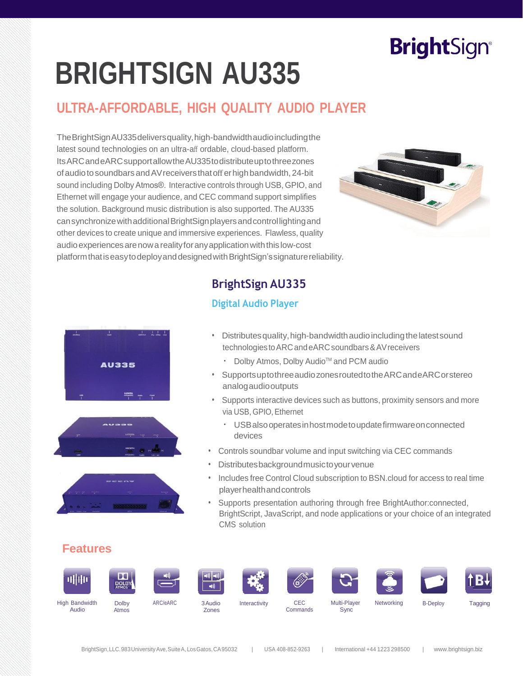# **BrightSign®**

# **BRIGHTSIGN AU335**

## **ULTRA-AFFORDABLE, HIGH QUALITY AUDIO PLAYER**

TheBrightSignAU335deliversquality,high-bandwidthaudioincludingthe latest sound technologies on an ultra-aff ordable, cloud-based platform. ItsARCandeARCsupportallowtheAU335todistributeuptothreezones ofaudiotosoundbarsandAVreceiversthatofferhighbandwidth,24-bit sound including Dolby Atmos®. Interactive controls through USB, GPIO, and Ethernet will engage your audience, and CEC command support simplifies the solution. Background music distribution is also supported. The AU335 cansynchronizewithadditionalBrightSignplayersandcontrollightingand other devices to create unique and immersive experiences. Flawless, quality audio experiences are now a reality for any application with this low-cost platformthatiseasytodeployanddesignedwithBrightSign'ssignaturereliability.



### **BrightSign AU335**

#### **Digital Audio Player**





- Distributesquality,high-bandwidthaudioincludingthelatestsound technologies to ARC and eARC soundbars & AV receivers
	- Dolby Atmos, Dolby Audio<sup>™</sup> and PCM audio
- SupportsuptothreeaudiozonesroutedtotheARCandeARCorstereo analogaudiooutputs
- Supports interactive devices such as buttons, proximity sensors and more via USB, GPIO, Ethernet
	- USBalsooperatesinhostmodetoupdatefirmwareonconnected devices
- Controls soundbar volume and input switching via CEC commands
- Distributesbackgroundmusictoyourvenue
- Includes free Control Cloud subscription to BSN.cloud for access to real time playerhealthandcontrols
- Supports presentation authoring through free BrightAuthor:connected, BrightScript, JavaScript, and node applications or your choice of an integrated CMS solution

#### **Features**

















High Bandwidth Audio

**Dolby** Atmos

ARC/eARC 3Audio Zones

Interactivity CEC

Commands

Multi-Player Sync

Networking B-Deploy Tagging